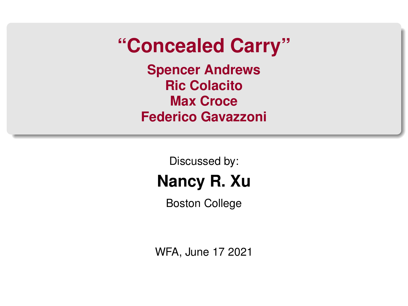# <span id="page-0-0"></span>**"Concealed Carry"**

**Spencer Andrews Ric Colacito Max Croce Federico Gavazzoni**

> Discussed by: **Nancy R. Xu**

Boston College

WFA, June 17 2021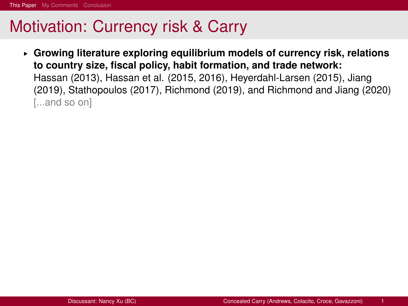<span id="page-1-0"></span>§ **Growing literature exploring equilibrium models of currency risk, relations to country size, fiscal policy, habit formation, and trade network:** Hassan (2013), Hassan et al. (2015, 2016), Heyerdahl-Larsen (2015), Jiang (2019), Stathopoulos (2017), Richmond (2019), and Richmond and Jiang (2020) [...and so on]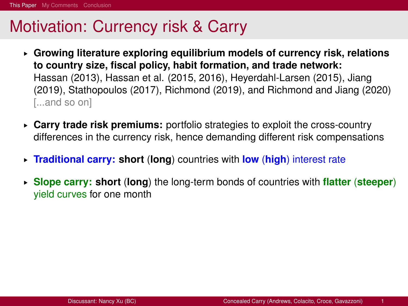- § **Growing literature exploring equilibrium models of currency risk, relations to country size, fiscal policy, habit formation, and trade network:** Hassan (2013), Hassan et al. (2015, 2016), Heyerdahl-Larsen (2015), Jiang (2019), Stathopoulos (2017), Richmond (2019), and Richmond and Jiang (2020) [...and so on]
- § **Carry trade risk premiums:** portfolio strategies to exploit the cross-country differences in the currency risk, hence demanding different risk compensations
- § **Traditional carry: short** (**long**) countries with **low** (**high**) interest rate
- § **Slope carry: short** (**long**) the long-term bonds of countries with **flatter** (**steeper**) yield curves for one month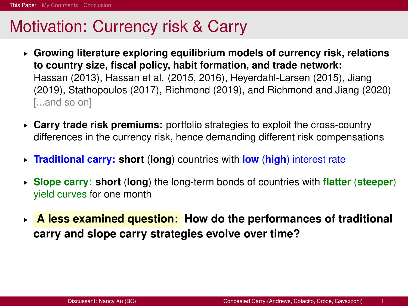- § **Growing literature exploring equilibrium models of currency risk, relations to country size, fiscal policy, habit formation, and trade network:** Hassan (2013), Hassan et al. (2015, 2016), Heyerdahl-Larsen (2015), Jiang (2019), Stathopoulos (2017), Richmond (2019), and Richmond and Jiang (2020) [...and so on]
- § **Carry trade risk premiums:** portfolio strategies to exploit the cross-country differences in the currency risk, hence demanding different risk compensations
- § **Traditional carry: short** (**long**) countries with **low** (**high**) interest rate
- § **Slope carry: short** (**long**) the long-term bonds of countries with **flatter** (**steeper**) yield curves for one month
- § **A less examined question: How do the performances of traditional carry and slope carry strategies evolve over time?**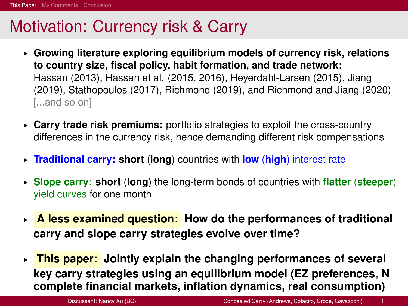- § **Growing literature exploring equilibrium models of currency risk, relations to country size, fiscal policy, habit formation, and trade network:** Hassan (2013), Hassan et al. (2015, 2016), Heyerdahl-Larsen (2015), Jiang (2019), Stathopoulos (2017), Richmond (2019), and Richmond and Jiang (2020) [...and so on]
- § **Carry trade risk premiums:** portfolio strategies to exploit the cross-country differences in the currency risk, hence demanding different risk compensations
- § **Traditional carry: short** (**long**) countries with **low** (**high**) interest rate
- § **Slope carry: short** (**long**) the long-term bonds of countries with **flatter** (**steeper**) yield curves for one month
- § **A less examined question: How do the performances of traditional carry and slope carry strategies evolve over time?**
- § **This paper: Jointly explain the changing performances of several key carry strategies using an equilibrium model (EZ preferences, N complete financial markets, inflation dynamics, real consumption)**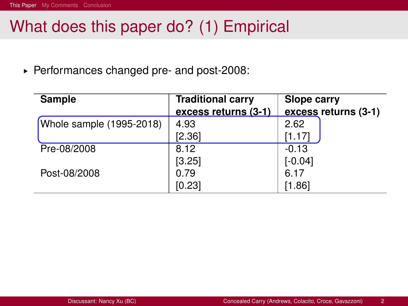J.

٠

# What does this paper do? (1) Empirical

§ Performances changed pre- and post-2008:

| <b>Sample</b>            | <b>Traditional carry</b> | Slope carry          |
|--------------------------|--------------------------|----------------------|
|                          | excess returns (3-1)     | excess returns (3-1) |
| Whole sample (1995-2018) | 4.93                     | 2.62                 |
|                          | [2.36]                   | [1.17]               |
| Pre-08/2008              | 8.12                     | $-0.13$              |
|                          | [3.25]                   | $[-0.04]$            |
| Post-08/2008             | 0.79                     | 6.17                 |
|                          | [0.23]                   | [1.86]               |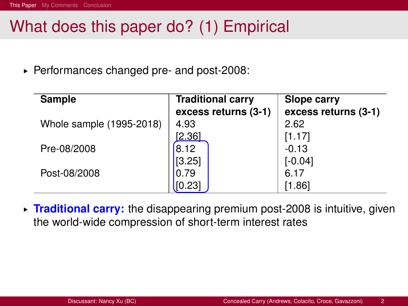# What does this paper do? (1) Empirical

§ Performances changed pre- and post-2008:

| <b>Sample</b>            |        | <b>Traditional carry</b> | <b>Slope carry</b>   |
|--------------------------|--------|--------------------------|----------------------|
|                          |        | excess returns (3-1)     | excess returns (3-1) |
| Whole sample (1995-2018) | 4.93   |                          | 2.62                 |
|                          | [2.36] |                          | [1.17]               |
| Pre-08/2008              | 8.12   |                          | $-0.13$              |
|                          | [3.25] |                          | $[-0.04]$            |
| Post-08/2008             | 0.79   |                          | 6.17                 |
|                          | [0.23] |                          | [1.86]               |

§ **Traditional carry:** the disappearing premium post-2008 is intuitive, given the world-wide compression of short-term interest rates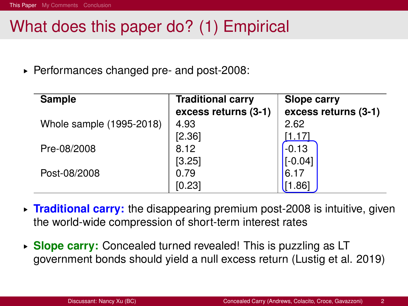# What does this paper do? (1) Empirical

§ Performances changed pre- and post-2008:

| Sample                   | <b>Traditional carry</b><br>excess returns (3-1) | Slope carry<br>excess returns (3-1) |
|--------------------------|--------------------------------------------------|-------------------------------------|
| Whole sample (1995-2018) | 4.93                                             | 2.62                                |
|                          | [2.36]                                           | [1.17]                              |
| Pre-08/2008              | 8.12                                             | $-0.13$                             |
|                          | [3.25]                                           | $[-0.04]$                           |
| Post-08/2008             | 0.79                                             | 6.17                                |
|                          | [0.23]                                           | [1.86]                              |

- § **Traditional carry:** the disappearing premium post-2008 is intuitive, given the world-wide compression of short-term interest rates
- ► **Slope carry:** Concealed turned revealed! This is puzzling as LT government bonds should yield a null excess return (Lustig et al. 2019)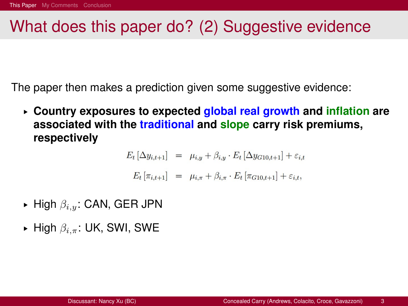The paper then makes a prediction given some suggestive evidence:

§ **Country exposures to expected global real growth and inflation are associated with the traditional and slope carry risk premiums, respectively**

$$
E_t [\Delta y_{i,t+1}] = \mu_{i,y} + \beta_{i,y} \cdot E_t [\Delta y_{G10,t+1}] + \varepsilon_{i,t}
$$
  

$$
E_t [\pi_{i,t+1}] = \mu_{i,\pi} + \beta_{i,\pi} \cdot E_t [\pi_{G10,t+1}] + \varepsilon_{i,t},
$$

- § High βi,y: CAN, GER JPN
- § High βi,π: UK, SWI, SWE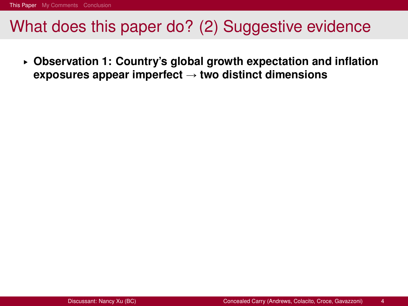§ **Observation 1: Country's global growth expectation and inflation** exposures appear imperfect  $\rightarrow$  two distinct dimensions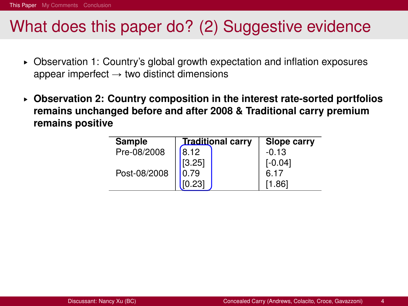- § Observation 1: Country's global growth expectation and inflation exposures appear imperfect  $\rightarrow$  two distinct dimensions
- § **Observation 2: Country composition in the interest rate-sorted portfolios remains unchanged before and after 2008 & Traditional carry premium remains positive**

| Sample       | <u>Traditi</u> onal carry | Slope carry |
|--------------|---------------------------|-------------|
| Pre-08/2008  | 8.12                      | $-0.13$     |
|              | [3.25]                    | $[-0.04]$   |
| Post-08/2008 | 0.79                      | 6.17        |
|              |                           | [1.86]      |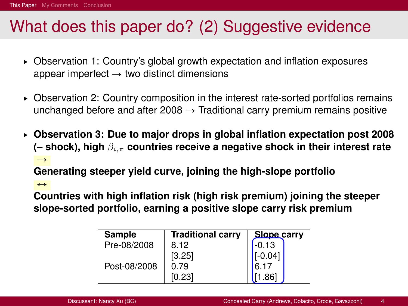- § Observation 1: Country's global growth expectation and inflation exposures appear imperfect  $\rightarrow$  two distinct dimensions
- § Observation 2: Country composition in the interest rate-sorted portfolios remains unchanged before and after 2008  $\rightarrow$  Traditional carry premium remains positive
- § **Observation 3: Due to major drops in global inflation expectation post 2008 (– shock), high** βi,π **countries receive a negative shock in their interest rate**  $\rightarrow$

**Generating steeper yield curve, joining the high-slope portfolio**

 $\leftrightarrow$ 

**Countries with high inflation risk (high risk premium) joining the steeper slope-sorted portfolio, earning a positive slope carry risk premium**

| Sample       | <b>Traditional carry</b> | Slope carry |
|--------------|--------------------------|-------------|
| Pre-08/2008  | 8.12                     | $-0.13$     |
|              | [3.25]                   | $-0.04$     |
| Post-08/2008 | 0.79                     | 6.17        |
|              | [0.23]                   | .861        |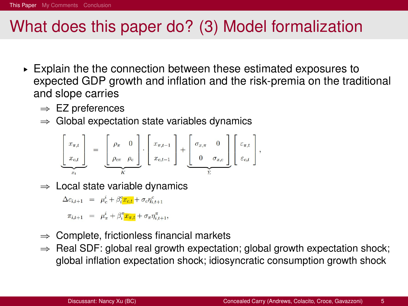# What does this paper do? (3) Model formalization

- § Explain the the connection between these estimated exposures to expected GDP growth and inflation and the risk-premia on the traditional and slope carries
	- $\Rightarrow$  EZ preferences
	- $\Rightarrow$  Global expectation state variables dynamics

$$
\underbrace{\left[\begin{array}{c} x_{\pi,t} \\ x_{c,t} \end{array}\right]}_{x_t} \ = \ \underbrace{\left[\begin{array}{cc} \rho_{\pi} & 0 \\ \rho_{cr} & \rho_c \end{array}\right]}_{K} \cdot \left[\begin{array}{c} x_{\pi,t-1} \\ x_{c,t-1} \end{array}\right] + \underbrace{\left[\begin{array}{cc} \sigma_{x,\pi} & 0 \\ 0 & \sigma_{x,c} \end{array}\right]}_{\Sigma} \left[\begin{array}{c} \varepsilon_{\pi,t} \\ \varepsilon_{c,t} \end{array}\right],
$$

 $\Rightarrow$  Local state variable dynamics

$$
\Delta c_{i,t+1} = \mu_c^i + \beta_i^c x_{c,t} + \sigma_c \eta_{i,t+1}^c
$$

 $\pi_{i,t+1} = \mu_{\pi}^i + \beta_i^{\pi} x_{\pi,t} + \sigma_{\pi} \eta_{i,t+1}^{\pi}$ 

- $\Rightarrow$  Complete, frictionless financial markets
- $\Rightarrow$  Real SDF: global real growth expectation; global growth expectation shock; global inflation expectation shock; idiosyncratic consumption growth shock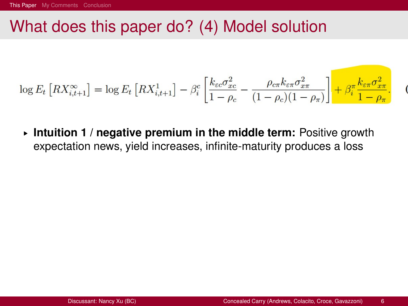### What does this paper do? (4) Model solution

$$
\log E_t \left[ RX_{i,t+1}^{\infty} \right] = \log E_t \left[ RX_{i,t+1}^1 \right] - \beta_i^c \left[ \frac{k_{\varepsilon c} \sigma_{xc}^2}{1 - \rho_c} - \frac{\rho_{c\pi} k_{\varepsilon \pi} \sigma_{x\pi}^2}{(1 - \rho_c)(1 - \rho_\pi)} \right] + \beta_i^{\pi} \frac{k_{\varepsilon \pi} \sigma_{x\pi}^2}{1 - \rho_\pi}.
$$

§ **Intuition 1 / negative premium in the middle term:** Positive growth expectation news, yield increases, infinite-maturity produces a loss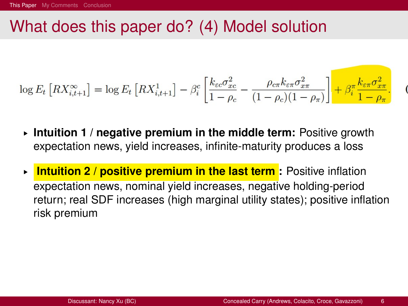### What does this paper do? (4) Model solution

$$
\log E_t \left[ RX_{i,t+1}^{\infty} \right] = \log E_t \left[ RX_{i,t+1}^1 \right] - \beta_i^c \left[ \frac{k_{ec}\sigma_{xc}^2}{1-\rho_c} - \frac{\rho_{c\pi}k_{\varepsilon\pi}\sigma_{x\pi}^2}{(1-\rho_c)(1-\rho_\pi)} \right] + \beta_i^{\pi} \frac{k_{\varepsilon\pi}\sigma_{x\pi}^2}{1-\rho_\pi}.
$$

- § **Intuition 1 / negative premium in the middle term:** Positive growth expectation news, yield increases, infinite-maturity produces a loss
- **► Intuition 2 / positive premium in the last term :** Positive inflation expectation news, nominal yield increases, negative holding-period return; real SDF increases (high marginal utility states); positive inflation risk premium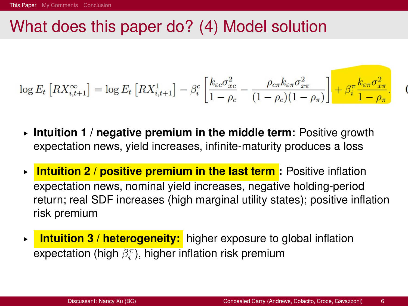### What does this paper do? (4) Model solution

$$
\log E_t \left[ RX_{i,t+1}^\infty \right] = \log E_t \left[ RX_{i,t+1}^1 \right] - \beta_i^c \left[ \frac{k_{ec}\sigma_{xc}^2}{1-\rho_c} - \frac{\rho_{c\pi}k_{\varepsilon\pi}\sigma_{x\pi}^2}{(1-\rho_c)(1-\rho_\pi)} \right] + \beta_i^{\pi} \frac{k_{\varepsilon\pi}\sigma_{x\pi}^2}{1-\rho_\pi}.
$$

- § **Intuition 1 / negative premium in the middle term:** Positive growth expectation news, yield increases, infinite-maturity produces a loss
- § **Intuition 2 / positive premium in the last term :** Positive inflation expectation news, nominal yield increases, negative holding-period return; real SDF increases (high marginal utility states); positive inflation risk premium
- § **Intuition 3 / heterogeneity:** higher exposure to global inflation expectation (high  $\beta_i^{\pi}$ ), higher inflation risk premium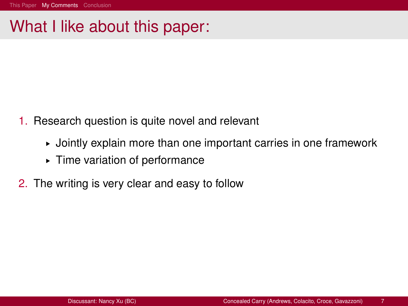# <span id="page-16-0"></span>What I like about this paper:

- 1. Research question is quite novel and relevant
	- § Jointly explain more than one important carries in one framework
	- § Time variation of performance
- 2. The writing is very clear and easy to follow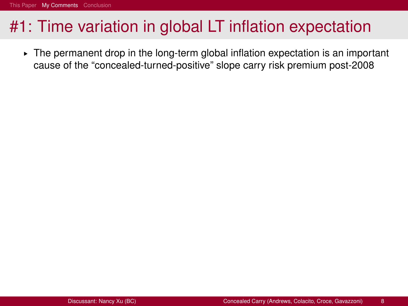# #1: Time variation in global LT inflation expectation

§ The permanent drop in the long-term global inflation expectation is an important cause of the "concealed-turned-positive" slope carry risk premium post-2008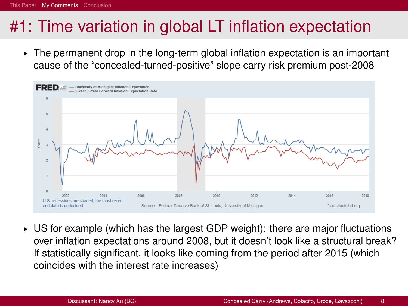#### [This Paper](#page-1-0) [My Comments](#page-16-0) [Conclusion](#page-30-0)

# #1: Time variation in global LT inflation expectation

► The permanent drop in the long-term global inflation expectation is an important cause of the "concealed-turned-positive" slope carry risk premium post-2008



 $\triangleright$  US for example (which has the largest GDP weight): there are major fluctuations over inflation expectations around 2008, but it doesn't look like a structural break? If statistically significant, it looks like coming from the period after 2015 (which coincides with the interest rate increases)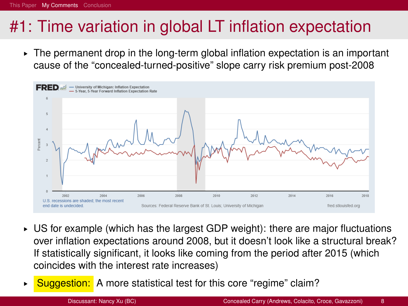#### [This Paper](#page-1-0) [My Comments](#page-16-0) [Conclusion](#page-30-0)

# #1: Time variation in global LT inflation expectation

► The permanent drop in the long-term global inflation expectation is an important cause of the "concealed-turned-positive" slope carry risk premium post-2008



- $\triangleright$  US for example (which has the largest GDP weight): there are major fluctuations over inflation expectations around 2008, but it doesn't look like a structural break? If statistically significant, it looks like coming from the period after 2015 (which coincides with the interest rate increases)
- ► Suggestion: A more statistical test for this core "regime" claim?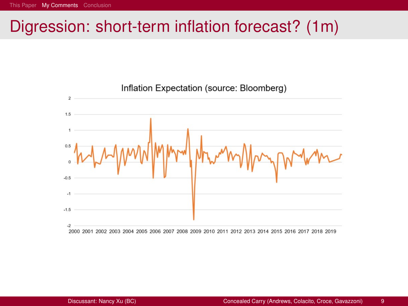# Digression: short-term inflation forecast? (1m)

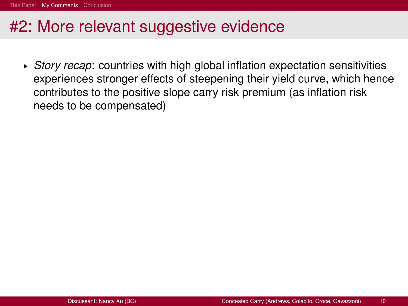§ *Story recap*: countries with high global inflation expectation sensitivities experiences stronger effects of steepening their yield curve, which hence contributes to the positive slope carry risk premium (as inflation risk needs to be compensated)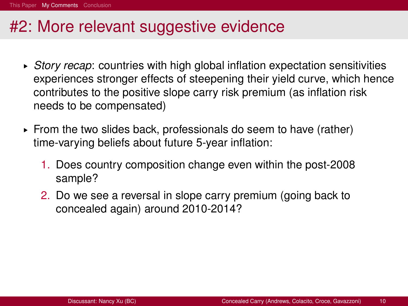- § *Story recap*: countries with high global inflation expectation sensitivities experiences stronger effects of steepening their yield curve, which hence contributes to the positive slope carry risk premium (as inflation risk needs to be compensated)
- $\triangleright$  From the two slides back, professionals do seem to have (rather) time-varying beliefs about future 5-year inflation:
	- 1. Does country composition change even within the post-2008 sample?
	- 2. Do we see a reversal in slope carry premium (going back to concealed again) around 2010-2014?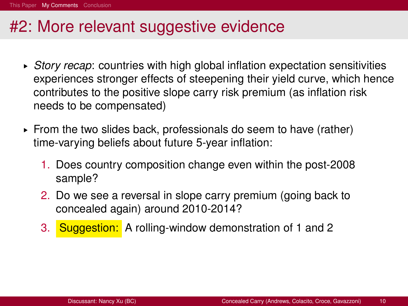- § *Story recap*: countries with high global inflation expectation sensitivities experiences stronger effects of steepening their yield curve, which hence contributes to the positive slope carry risk premium (as inflation risk needs to be compensated)
- $\triangleright$  From the two slides back, professionals do seem to have (rather) time-varying beliefs about future 5-year inflation:
	- 1. Does country composition change even within the post-2008 sample?
	- 2. Do we see a reversal in slope carry premium (going back to concealed again) around 2010-2014?
	- 3. Suggestion: A rolling-window demonstration of 1 and 2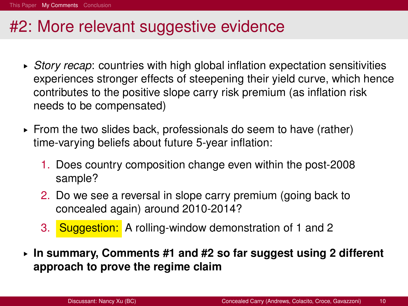- § *Story recap*: countries with high global inflation expectation sensitivities experiences stronger effects of steepening their yield curve, which hence contributes to the positive slope carry risk premium (as inflation risk needs to be compensated)
- $\triangleright$  From the two slides back, professionals do seem to have (rather) time-varying beliefs about future 5-year inflation:
	- 1. Does country composition change even within the post-2008 sample?
	- 2. Do we see a reversal in slope carry premium (going back to concealed again) around 2010-2014?
	- 3. Suggestion: A rolling-window demonstration of 1 and 2
- § **In summary, Comments #1 and #2 so far suggest using 2 different approach to prove the regime claim**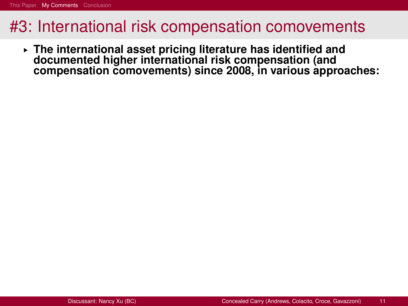§ **The international asset pricing literature has identified and documented higher international risk compensation (and compensation comovements) since 2008, in various approaches:**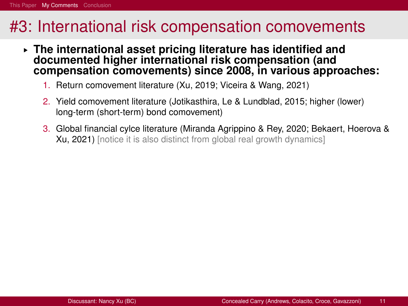- § **The international asset pricing literature has identified and documented higher international risk compensation (and compensation comovements) since 2008, in various approaches:**
	- 1. Return comovement literature (Xu, 2019; Viceira & Wang, 2021)
	- 2. Yield comovement literature (Jotikasthira, Le & Lundblad, 2015; higher (lower) long-term (short-term) bond comovement)
	- 3. Global financial cylce literature (Miranda Agrippino & Rey, 2020; Bekaert, Hoerova & Xu, 2021) [notice it is also distinct from global real growth dynamics]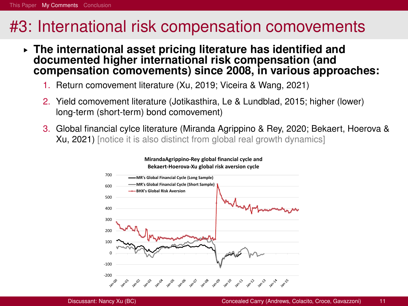- § **The international asset pricing literature has identified and documented higher international risk compensation (and compensation comovements) since 2008, in various approaches:**
	- 1. Return comovement literature (Xu, 2019; Viceira & Wang, 2021)
	- 2. Yield comovement literature (Jotikasthira, Le & Lundblad, 2015; higher (lower) long-term (short-term) bond comovement)
	- 3. Global financial cylce literature (Miranda Agrippino & Rey, 2020; Bekaert, Hoerova & Xu, 2021) [notice it is also distinct from global real growth dynamics]



#### **MirandaAgrippino‐Rey global financial cycle and Bekaert‐Hoerova‐Xu global risk aversion cycle**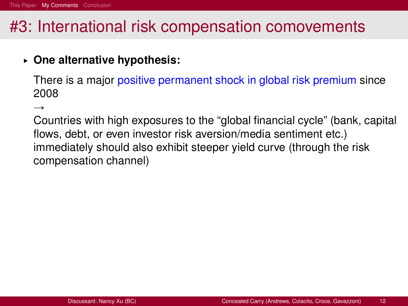### § **One alternative hypothesis:**

There is a major positive permanent shock in global risk premium since 2008

 $\rightarrow$ 

Countries with high exposures to the "global financial cycle" (bank, capital flows, debt, or even investor risk aversion/media sentiment etc.) immediately should also exhibit steeper yield curve (through the risk compensation channel)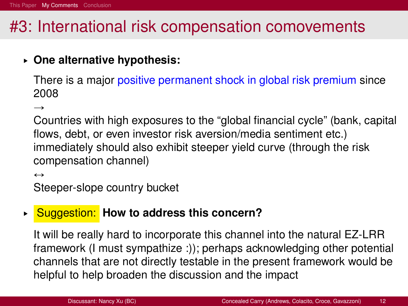### § **One alternative hypothesis:**

There is a major positive permanent shock in global risk premium since 2008

 $\rightarrow$ 

Countries with high exposures to the "global financial cycle" (bank, capital flows, debt, or even investor risk aversion/media sentiment etc.) immediately should also exhibit steeper yield curve (through the risk compensation channel)

 $\leftrightarrow$ 

Steeper-slope country bucket

### § Suggestion: **How to address this concern?**

It will be really hard to incorporate this channel into the natural EZ-LRR framework (I must sympathize :)); perhaps acknowledging other potential channels that are not directly testable in the present framework would be helpful to help broaden the discussion and the impact